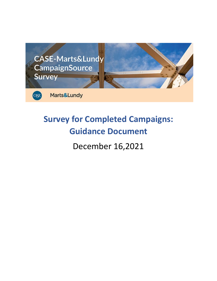

# **Survey for Completed Campaigns: Guidance Document**

December 16,2021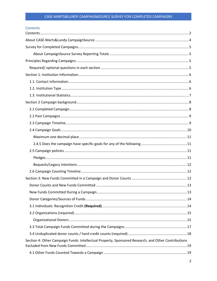<span id="page-1-0"></span>

| <b>Contents</b> |  |  |
|-----------------|--|--|
|                 |  |  |

| Section 4: Other Campaign Funds: Intellectual Property, Sponsored Research, and Other Contributions |
|-----------------------------------------------------------------------------------------------------|
|                                                                                                     |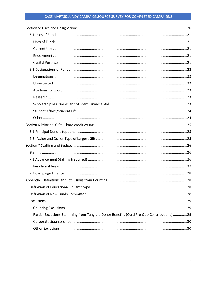| Partial Exclusions Stemming from Tangible Donor Benefits (Quid Pro Quo Contributions)  29 |  |
|-------------------------------------------------------------------------------------------|--|
|                                                                                           |  |
|                                                                                           |  |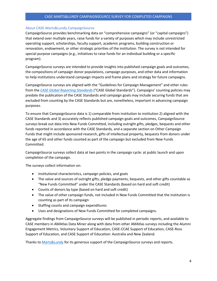# <span id="page-3-0"></span>About CASE-Marts&Lundy CampaignSource

CampaignSource provides benchmarking data on "comprehensive campaigns" (or "capital campaigns") that extend over multiple years, raise funds for a variety of purposes which may include unrestricted operating support, scholarships, faculty support, academic programs, building construction or renovation, endowment, or other strategic priorities of the institution. The survey is not intended for special purpose campaigns (e.g., initiatives to raise funds for an individual building or a specific program).

CampaignSource surveys are intended to provide insights into published campaign goals and outcomes, the compositions of campaign donor populations, campaign purposes, and other data and information to help institutions understand campaign impacts and frame plans and strategy for future campaigns.

CampaignSource surveys are aligned with the "Guidelines for Campaign Management" and other rules from the *CASE [Global Reporting Standards](https://www.case.org/resources/amatlas/case-global-reporting-standards)* ("CASE Global Standards"). Campaigns' counting policies may predate the publication of the CASE Standards and campaign goals may include securing funds that are excluded from counting by the CASE Standards but are, nonetheless, important in advancing campaign purposes.

To ensure that CampaignSource data is 1) comparable from institution to institution 2) aligned with the CASE Standards and 3) accurately reflects published campaign goals and outcomes, CampaignSource surveys break out data into New Funds Committed, including outright gifts, pledges, bequests and other funds reported in accordance with the CASE Standards*,* and a separate section on Other Campaign Funds that might include sponsored research, gifts of intellectual property, bequests from donors under the age of 65 and other funds counted as part of the campaign but excluded from New Funds Committed.

CampaignSource surveys collect data at two points in the campaign cycle: at public launch and upon completion of the campaign.

The surveys collect information on:

- Institutional characteristics, campaign policies, and goals
- The value and sources of outright gifts, pledge payments, bequests, and other gifts countable as "New Funds Committed" under the CASE Standards (based on hard and soft credit)
- Counts of donors by type (based on hard and soft credit)
- The value of other campaign funds, not included in New Funds Committed that the institution is counting as part of its campaign
- Staffing counts and campaign expenditures
- Uses and designations of New Funds Committed for completed campaigns.

Aggregate findings from CampaignSource surveys will be published in periodic reports, and available to CASE members in AMAtlas Data Miner along with data from other AMAtlas surveys including the Alumni Engagement Metrics, Voluntary Support of Education, CASE-CCAE Support of Education, CASE-Ross Support of Education, and CASE Support of Education: Australia and New Zealand.

Thanks to [Marts&Lundy](https://www.martsandlundy.com/) for its generous support of the CampaignSource surveys and reports.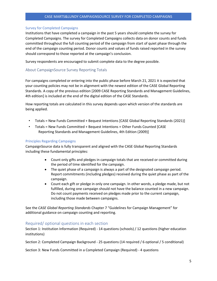#### <span id="page-4-0"></span>Survey for Completed Campaigns

Institutions that have completed a campaign in the past 5 years should complete the survey for Completed Campaigns. The survey for Completed Campaigns collects data on donor counts and funds committed throughout the full counting period of the campaign from start of quiet phase through the end of the campaign counting period. Donor counts and values of funds raised reported in the survey should correspond to those reported at the campaign's conclusion.

Survey respondents are encouraged to submit complete data to the degree possible.

## <span id="page-4-1"></span>About CampaignSource Survey Reporting Totals

For campaigns completed or entering into the public phase before March 21, 2021 it is expected that your counting policies may not be in alignment with the newest edition of the CASE Global Reporting Standards. A copy of the previous edition [2009 CASE Reporting Standards and Management Guidelines, 4th edition] is included at the end of the digital edition of the CASE Standards.

How reporting totals are calculated in this survey depends upon which version of the standards are being applied.

- Totals = New Funds Committed + Bequest Intentions [CASE Global Reporting Standards (2021)]
- Totals = New Funds Committed + Bequest Intentions + Other Funds Counted [CASE Reporting Standards and Management Guidelines, 4th Edition (2009)]

#### <span id="page-4-2"></span>Principles Regarding Campaigns

CampaignSource data is fully transparent and aligned with the CASE Global Reporting Standards including these fundamental principles:

- Count only gifts and pledges in campaign totals that are received or committed during the period of time identified for the campaign.
- The quiet phase of a campaign is always a part of the designated campaign period. Report commitments (including pledges) received during the quiet phase as part of the campaign.
- Count each gift or pledge in only one campaign. In other words, a pledge made, but not fulfilled, during one campaign should not have the balance counted in a new campaign. Do not count payments received on pledges made prior to the current campaign, including those made between campaigns.

See the *CASE Global Reporting Standards* Chapter 7 "Guidelines for Campaign Management" for additional guidance on campaign counting and reporting.

## <span id="page-4-3"></span>Required/ optional questions in each section

Section 1: Institution Information (Required) - 14 questions (schools) / 12 questions (higher education institutions)

Section 2: Completed Campaign Background - 25 questions (14 required / 6 optional / 5 conditional)

Section 3: New Funds Committed in a Completed Campaign (Required) - 4 questions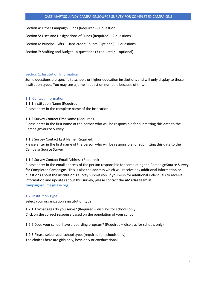Section 4: Other Campaign Funds (Required) - 1 question Section 5: Uses and Designations of Funds (Required) - 2 questions Section 6: Principal Gifts – Hard-credit Counts (Optional) - 2 questions Section 7: Staffing and Budget - 4 questions (3 required / 1 optional)

#### <span id="page-5-0"></span>Section 1: Institution Information

Some questions are specific to schools or higher education institutions and will only display to those institution types. You may see a jump in question numbers because of this.

#### <span id="page-5-1"></span>1.1. Contact information

1.1.1 Institution Name (Required) Please enter in the complete name of the institution

1.1.2 Survey Contact First Name (Required) Please enter in the first name of the person who will be responsible for submitting this data to the CampaignSource Survey.

1.1.3 Survey Contact Last Name (Required) Please enter in the first name of the person who will be responsible for submitting this data to the CampaignSource Survey.

#### 1.1.4 Survey Contact Email Address (Required)

Please enter in the email address of the person responsible for completing the CampaignSource Survey for Completed Campaigns. This is also the address which will receive any additional information or questions about the institution's survey submission. If you wish for additional individuals to receive information and updates about this survey, please contact the AMAtlas team at [campaignsource@case.org.](mailto:campaignsource@case.org)

#### <span id="page-5-2"></span>1.2. Institution Type

Select your organization's institution type.

1.2.1.1 What ages do you serve? (Required – displays for schools only) Click on the correct response based on the population of your school.

1.2.2 Does your school have a boarding program? (Required – displays for schools only)

1.2.3 Please select your school type. (required for schools only) The choices here are girls only, boys only or coeducational.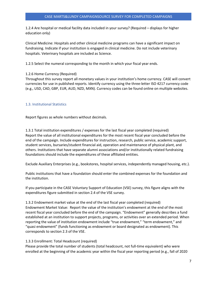1.2.4 Are hospital or medical facility data included in your survey? (Required – displays for higher education only)

Clinical Medicine: Hospitals and other clinical medicine programs can have a significant impact on fundraising. Indicate if your institution is engaged in clinical medicine. Do not include veterinary hospitals. Veterinary hospitals are included as Science.

1.2.5 Select the numeral corresponding to the month in which your fiscal year ends.

## 1.2.6 Home Currency (Required)

Throughout this survey report all monetary values in your institution's home currency. CASE will convert currencies for use in published reports. Identify currency using the three-letter ISO 4217 currency code (e.g., USD, CAD, GBP, EUR, AUD, NZD, MXN). Currency codes can be found online on multiple websites.

# <span id="page-6-0"></span>1.3. Institutional Statistics

Report figures as whole numbers without decimals.

1.3.1 Total institution expenditures / expenses for the last fiscal year completed (required) Report the value of all institutional expenditures for the most recent fiscal year concluded before the end of the campaign. Include expenditures for instruction, research, public service, academic support, student services, bursaries/student financial aid, operation and maintenance of physical plant, and others. Institutions that have separate alumni associations and/or institutionally related fundraising foundations should include the expenditures of these affiliated entities.

Exclude Auxiliary Enterprises (e.g., bookstores, hospital services, independently managed housing, etc.).

Public institutions that have a foundation should enter the combined expenses for the foundation and the institution.

If you participate in the CASE Voluntary Support of Education (VSE) survey, this figure aligns with the expenditures figure submitted in section 2.4 of the VSE survey.

1.3.2 Endowment market value at the end of the last fiscal year completed (required) Endowment Market Value: Report the value of the institution's endowment at the end of the most recent fiscal year concluded before the end of the campaign. "Endowment" generally describes a fund established at an institution to support projects, programs, or activities over an extended period. When reporting the value of institution endowment include "true endowment," "term endowment," and "quasi endowment" (funds functioning as endowment or board designated as endowment). This corresponds to section 2.3 of the VSE.

# 1.3.3 Enrollment: Total Headcount (required)

Please provide the total number of students (total headcount, not full-time equivalent) who were enrolled at the beginning of the academic year within the fiscal year reporting period (e.g., fall of 2020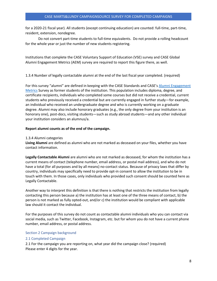for a 2020-21 fiscal year). All students (except continuing education) are counted: full-time, part-time, resident, extension, nondegree.

 Do not convert part-time students to full-time equivalents. Do not provide a rolling headcount for the whole year or just the number of new students registering.

Institutions that complete the CASE Voluntary Support of Education (VSE) survey and CASE Global Alumni Engagement Metrics (AEM) survey are required to report this figure there, as well.

1.3.4 Number of legally contactable alumni at the end of the last fiscal year completed. (required)

For this survey "alumni" are defined in keeping with the CASE Standards and CASE's Alumni Engagement [Metrics](https://www.case.org/resources/case-global-alumni-engagement-metrics-survey) Survey as former students of the institution. This population includes diploma, degree, and certificate recipients, individuals who completed some courses but did not receive a credential, current students who previously received a credential but are currently engaged in further study—for example, an individual who received an undergraduate degree and who is currently working on a graduate degree. Alumni may also include honorary graduates (e.g., the only degree from your institution is an honorary one), post-docs, visiting students—such as study abroad students—and any other individual your institution considers an alumnus/a.

#### **Report alumni counts as of the end of the campaign.**

#### 1.3.4 Alumni categories

**Living Alumni** are defined as alumni who are not marked as deceased on your files, whether you have contact information.

**Legally Contactable Alumni** are alumni who are not marked as deceased, for whom the institution has a current means of contact (telephone number, email address, or postal mail address), and who do not have a total (for all purposes and by all means) no-contact status. Because of privacy laws that differ by country, individuals may specifically need to provide opt-in consent to allow the institution to be in touch with them. In those cases, only individuals who provided such consent should be counted here as Legally Contactable.

Another way to interpret this definition is that there is nothing that restricts the institution from legally contacting this person because a) the institution has at least one of the three means of contact, b) the person is not marked as fully opted-out, and/or c) the institution would be compliant with applicable law should it contact the individual.

For the purposes of this survey do not count as contactable alumni individuals who you can contact via social media, such as Twitter, Facebook, Instagram, etc. but for whom you do not have a current phone number, email address, or postal address.

#### <span id="page-7-0"></span>Section 2 Campaign background

#### <span id="page-7-1"></span>2.1 Completed Campaign

2.1 For the campaign you are reporting on, what year did the campaign close? (required) Please enter 4 digits for the year.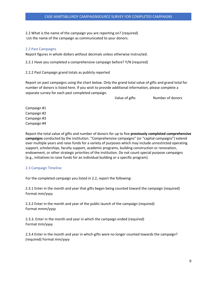2.2 What is the name of the campaign you are reporting on? (required) List the name of the campaign as communicated to your donors.

## <span id="page-8-0"></span>2.2 Past Campaigns

Report figures in whole dollars without decimals unless otherwise instructed.

2.2.1 Have you completed a comprehensive campaign before? Y/N (required)

2.2.2 Past Campaign grand totals as publicly reported

Report on past campaigns using the chart below. Only the grand total value of gifts and grand total for number of donors is listed here. If you wish to provide additional information, please complete a separate survey for each past completed campaign.

Value of gifts Number of donors

Campaign #1 Campaign #2 Campaign #3 Campaign #4

Report the total value of gifts and number of donors for up to five **previously completed comprehensive campaigns** conducted by the institution. "Comprehensive campaigns" (or "capital campaigns") extend over multiple years and raise funds for a variety of purposes which may include unrestricted operating support, scholarships, faculty support, academic programs, building construction or renovation, endowment, or other strategic priorities of the institution. Do not count special purpose campaigns (e.g., initiatives to raise funds for an individual building or a specific program).

# <span id="page-8-1"></span>2.3 Campaign Timeline

For the completed campaign you listed in 2.2, report the following:

2.3.1 Enter in the month and year that gifts began being counted toward the campaign (required) Format mm/yyyy

2.3.2 Enter in the month and year of the public launch of the campaign (required) Format mmm/yyyy

2.3.3. Enter in the month and year in which the campaign ended (required) Format mm/yyyy

2.3.4 Enter in the month and year in which gifts were no longer counted towards the campaign? (required) Format mm/yyyy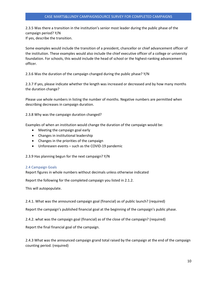2.3.5 Was there a transition in the institution's senior most leader during the public phase of the campaign period? Y/N If yes, describe the transition.

Some examples would include the transition of a president, chancellor or chief advancement officer of the institution. These examples would also include the chief executive officer of a college or university foundation. For schools, this would include the head of school or the highest-ranking advancement officer.

2.3.6 Was the duration of the campaign changed during the public phase? Y/N

2.3.7 If yes, please indicate whether the length was increased or decreased and by how many months the duration change?

Please use whole numbers in listing the number of months. Negative numbers are permitted when describing decreases in campaign duration.

2.3.8 Why was the campaign duration changed?

Examples of when an institution would change the duration of the campaign would be:

- Meeting the campaign goal early
- Changes in institutional leadership
- Changes in the priorities of the campaign
- Unforeseen events such as the COVID-19 pandemic

2.3.9 Has planning begun for the next campaign? Y/N

#### <span id="page-9-0"></span>2.4 Campaign Goals

Report figures in whole numbers without decimals unless otherwise indicated

Report the following for the completed campaign you listed in 2.1.2.

This will autopopulate.

2.4.1. What was the announced campaign goal (financial) as of public launch? (required)

Report the campaign's published financial goal at the beginning of the campaign's public phase.

2.4.2. what was the campaign goal (financial) as of the close of the campaign? (required)

Report the final financial goal of the campaign.

2.4.3 What was the announced campaign grand total raised by the campaign at the end of the campaign counting period. (required)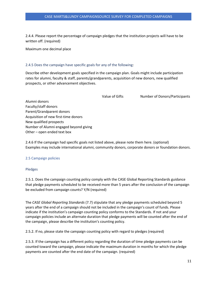2.4.4. Please report the percentage of campaign pledges that the institution projects will have to be written off. (required)

<span id="page-10-0"></span>Maximum one decimal place

#### <span id="page-10-1"></span>2.4.5 Does the campaign have specific goals for any of the following:

Describe other development goals specified in the campaign plan. Goals might include participation rates for alumni, faculty & staff, parents/grandparents, acquisition of new donors, new qualified prospects, or other advancement objectives.

| Value of Gifts |
|----------------|
|----------------|

Number of Donors/Participants

Alumni donors Faculty/staff donors Parent/Grandparent donors Acquisition of new first-time donors New qualified prospects Number of Alumni engaged beyond giving Other – open ended text box

2.4.6 If the campaign had specific goals not listed above, please note them here. (optional) Examples may include international alumni, community donors, corporate donors or foundation donors.

## <span id="page-10-2"></span>2.5 Campaign policies

## <span id="page-10-3"></span>Pledges

2.5.1. Does the campaign counting policy comply with the CASE Global Reporting Standards guidance that pledge payments scheduled to be received more than 5 years after the conclusion of the campaign be excluded from campaign counts? Y/N (required)

The *CASE Global Reporting Standards* (7.7) stipulate that any pledge payments scheduled beyond 5 years after the end of a campaign should not be included in the campaign's count of funds. Please indicate if the institution's campaign counting policy conforms to the Standards. If not and your campaign policies include an alternate duration that pledge payments will be counted after the end of the campaign, please describe the institution's counting policy.

2.5.2. If no, please state the campaign counting policy with regard to pledges (required)

2.5.3. If the campaign has a different policy regarding the duration of time pledge payments can be counted toward the campaign, please indicate the maximum duration in months for which the pledge payments are counted after the end date of the campaign. (required)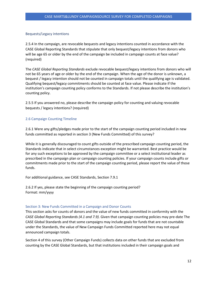#### <span id="page-11-0"></span>Bequests/Legacy intentions

2.5.4 In the campaign, are revocable bequests and legacy intentions counted in accordance with the CASE Global Reporting Standards that stipulate that only bequest/legacy intentions from donors who will be age 65 or older by the end of the campaign be included in campaign counts at face value? (required)

The *CASE Global Reporting Standards* exclude revocable bequest/legacy intentions from donors who will not be 65 years of age or older by the end of the campaign. When the age of the donor is unknown, a bequest / legacy intention should not be counted in campaign totals until the qualifying age is validated. Qualifying bequest/legacy commitments should be counted at face value. Please indicate if the institution's campaign counting policy conforms to the Standards. If not please describe the institution's counting policy.

2.5.5 If you answered no, please describe the campaign policy for counting and valuing revocable bequests / legacy intentions? (required)

#### <span id="page-11-1"></span>2.6 Campaign Counting Timeline

2.6.1 Were any gifts/pledges made prior to the start of the campaign counting period included in new funds committed as reported in section 3 (New Funds Committed) of this survey?

While it is generally discouraged to count gifts outside of the prescribed campaign counting period, the Standards indicate that in select circumstances exception might be warranted. Best practice would be for any such exceptions to be approved by the campaign committee or a select institutional leader as prescribed in the campaign plan or campaign counting policies. If your campaign counts include gifts or commitments made prior to the start of the campaign counting period, please report the value of those funds.

For additional guidance, see CASE Standards, Section 7.9.1

2.6.2 If yes, please state the beginning of the campaign counting period? Format: mm/yyyy

#### <span id="page-11-2"></span>Section 3: New Funds Committed in a Campaign and Donor Counts

This section asks for counts of donors and the value of new funds committed in conformity with the *CASE Global Reporting Standards (4.1 and 7.9).* Given that campaign counting policies may pre-date The CASE Global Standards and that some campaigns may include goals for funds that are not countable under the Standards, the value of New Campaign Funds Committed reported here may not equal announced campaign totals.

Section 4 of this survey (Other Campaign Funds) collects data on other funds that are excluded from counting by the CASE Global Standards, but that institutions included in their campaign goals and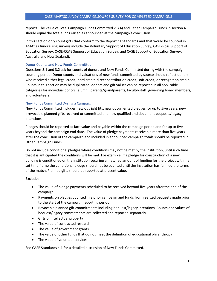reports. The value of Total Campaign Funds Committed 2.3.4) and Other Campaign Funds in section 4 should equal the total funds raised as announced at the campaign's conclusion.

In this section only count gifts that conform to the Reporting Standards and that would be counted in AMAtlas fundraising surveys include the Voluntary Support of Education Survey, CASE-Ross Support of Education Survey, CASE-CCAE Support of Education Survey, and CASE Support of Education Survey: Australia and New Zealand).

## <span id="page-12-0"></span>Donor Counts and New Funds Committed

Questions 3.1 and 3.2 ask for counts of donors and New Funds Committed during with the campaign counting period. Donor counts and valuations of new funds committed by source should reflect donors who received either legal credit, hard credit, direct contribution credit, soft credit, or recognition credit. Counts in this section may be duplicated; donors and gift values can be reported in all applicable categories for individual donors (alumni, parents/grandparents, faculty/staff, governing board members, and volunteers).

## <span id="page-12-1"></span>New Funds Committed During a Campaign

New Funds Committed includes new outright fits, new documented pledges for up to 5ive years, new irrevocable planned gifts received or committed and new qualified and document bequests/legacy intentions

Pledges should be reported at face value and payable within the campaign period and for up to five years beyond the campaign end date. The value of pledge payments receivable more than five years after the conclusion of the campaign and included in announced campaign totals should be reported in Other Campaign Funds.

Do not include conditional pledges where conditions may not be met by the institution, until such time that it is anticipated the conditions will be met. For example, if a pledge for construction of a new building is conditioned on the institution securing a matched amount of funding for the project within a set time frame the conditional pledge should not be counted until the institution has fulfilled the terms of the match. Planned gifts should be reported at present value.

Exclude:

- The value of pledge payments scheduled to be received beyond five years after the end of the campaign.
- Payments on pledges counted in a prior campaign and funds from realized bequests made prior to the start of the campaign reporting period.
- Revocable planned gift commitments including bequest/legacy intentions. Counts and values of bequest/legacy commitments are collected and reported separately.
- Gifts of intellectual property
- The value of contracted research
- The value of government grants
- The value of other funds that do not meet the definition of educational philanthropy
- The value of volunteer services

See CASE Standards 4.1 for a detailed discussion of New Funds Committed.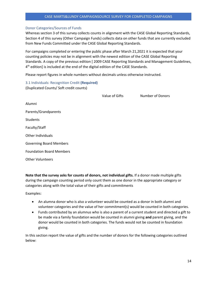#### <span id="page-13-0"></span>Donor Categories/Sources of Funds

Whereas section 3 of this survey collects counts in alignment with the CASE Global Reporting Standards, Section 4 of this survey (Other Campaign Funds) collects data on other funds that are currently excluded from New Funds Committed under the CASE Global Reporting Standards.

For campaigns completed or entering the public phase after March 21,2021 it is expected that your counting policies may not be in alignment with the newest edition of the CASE Global Reporting Standards. A copy of the previous edition [ 2009 CASE Reporting Standards and Management Guidelines,  $4<sup>th</sup>$  edition] is included at the end of the digital edition of the CASE Standards.

Please report figures in whole numbers without decimals unless otherwise instructed.

<span id="page-13-1"></span>3.1 Individuals: Recognition Credit **(Required)** (Duplicated Counts/ Soft credit counts)

Value of Gifts Number of Donors

Alumni Parents/Grandparents Students Faculty/Staff Other Individuals Governing Board Members Foundation Board Members Other Volunteers

**Note that the survey asks for counts of donors, not individual gifts.** If a donor made multiple gifts during the campaign counting period only count them as one donor in the appropriate category or categories along with the total value of their gifts and commitments

Examples:

- An alumna donor who is also a volunteer would be counted as a donor in both alumni and volunteer categories and the value of her commitment(s) would be counted in both categories.
- Funds contributed by an alumnus who is also a parent of a current student and directed a gift to be made via a family foundation would be counted in alumni giving **and** parent giving, and the donor would be counted in both categories. The funds would not be counted in foundation giving.

In this section report the value of gifts and the number of donors for the following categories outlined below: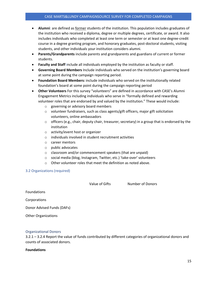- **Alumni**: are defined as former students of the institution. This population includes graduates of the institution who received a diploma, degree or multiple degrees, certificate, or award. It also includes individuals who completed at least one term or semester or at least one degree-credit course in a degree granting program, and honorary graduates, post-doctoral students, visiting students, and other individuals your institution considers alumni.
- **Parents/Grandparents** include parents and grandparents and guardians of current or former students.
- **Faculty and Staff** include all individuals employed by the institution as faculty or staff.
- **Governing Board Members** Include individuals who served on the institution's governing board at some point during the campaign reporting period.
- **Foundation Board Members:** include individuals who served on the institutionally related foundation's board at some point during the campaign reporting period
- **Other Volunteers** For this survey "volunteers" are defined in accordance with CASE's Alumni Engagement Metrics including individuals who serve in "formally defined and rewarding volunteer roles that are endorsed by and valued by the institution." These would include:
	- o governing or advisory board members
	- o volunteer fundraisers, such as class agents/gift officers, major gift solicitation volunteers, online ambassadors
	- o officers (e.g., chair, deputy chair, treasurer, secretary) in a group that is endorsed by the institution
	- o activity/event host or organizer
	- $\circ$  individuals involved in student recruitment activities
	- o career mentors
	- o public advocates
	- o classroom and/or commencement speakers (that are unpaid)
	- o social media (blog, Instagram, Twitter, etc.) 'take-over' volunteers
	- o Other volunteer roles that meet the definition as noted above.

# <span id="page-14-0"></span>3.2 Organizations (required)

Value of Gifts Number of Donors

Foundations

Corporations

Donor Advised Funds (DAFs)

Other Organizations

## <span id="page-14-1"></span>Organizational Donors

3.2.1 – 3.2.4 Report the value of funds contributed by different categories of organizational donors and counts of associated donors.

## **Foundations**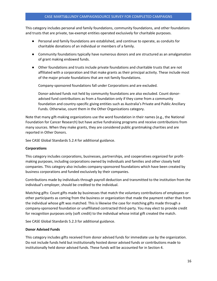This category includes personal and family foundations, community foundations, and other foundations and trusts that are private, tax-exempt entities operated exclusively for charitable purposes.

- Personal and family foundations are established, and continue to operate, as conduits for charitable donations of an individual or members of a family.
- Community foundations typically have numerous donors and are structured as an amalgamation of grant making endowed funds.
- Other foundations and trusts include private foundations and charitable trusts that are not affiliated with a corporation and that make grants as their principal activity. These include most of the major private foundations that are not family foundations.

Company-sponsored foundations fall under Corporations and are excluded.

Donor-advised funds not held by community foundations are also excluded. Count donoradvised fund contributions as from a foundation only if they come from a community foundation and country-specific giving entities such as Australia's Private and Public Ancillary Funds. Otherwise, count them in the Other Organizations category.

Note that many gift-making organizations use the word foundation in their names (e.g., the National Foundation for Cancer Research) but have active fundraising programs and receive contributions from many sources. When they make grants, they are considered public grantmaking charities and are reported in Other Donors.

See CASE Global Standards 5.2.4 for additional guidance.

## **Corporations**

This category includes corporations, businesses, partnerships, and cooperatives organized for profitmaking purposes, including corporations owned by individuals and families and other closely held companies. This category also includes company-sponsored foundations which have been created by business corporations and funded exclusively by their companies.

Contributions made by individuals through payroll deduction and transmitted to the institution from the individual's employer, should be credited to the individual.

Matching gifts: Count gifts made by businesses that match the voluntary contributions of employees or other participants as coming from the business or organization that made the payment rather than from the individual whose gift was matched. This is likewise the case for matching gifts made through a company-sponsored foundation or unaffiliated contracted third-party. You may elect to provide credit for recognition purposes only (soft credit) to the individual whose initial gift created the match.

See CASE Global Standards 5.2.3 for additional guidance.

#### **Donor Advised Funds**

This category includes gifts received from donor advised funds for immediate use by the organization. Do not include funds held but institutionally hosted donor advised funds or contributions made to institutionally held donor advised funds. These funds will be accounted for in Section 4.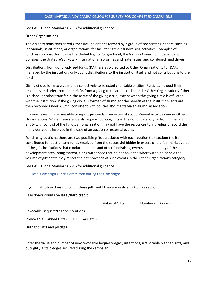See CASE Global Standards 5.1.3 for additional guidance.

#### **Other Organizations**

The organizations considered Other include entities formed by a group of cooperating donors, such as individuals, institutions, or organizations, for facilitating their fundraising activities. Examples of fundraising consortia include the United Negro College Fund, the Virginia Council of Independent Colleges, the United Way, Rotary International, sororities and fraternities, and combined fund drives.

Distributions from donor-advised funds (DAF) are also credited to Other Organizations. For DAFs managed by the institution, only count distributions to the institution itself and not contributions to the fund.

Giving circles form to give money collectively to selected charitable entities. Participants pool their resources and select recipients. Gifts from a giving circle are recorded under Other Organizations if there is a check or other transfer in the name of the giving circle, except when the giving circle is affiliated with the institution. If the giving circle is formed of alumni for the benefit of the institution, gifts are then recorded under Alumni consistent with policies about gifts via an alumni association.

In some cases, it is permissible to report proceeds from external auction/event activities under Other Organizations. While these standards require counting gifts in the donor category reflecting the last entity with control of the funds, an organization may not have the resources to individually record the many donations involved in the case of an auction or external event.

For charity auctions, there are two possible gifts associated with each auction transaction; the item contributed for auction and funds received from the successful bidder in excess of the fair market value of the gift. Institutions that conduct auctions and other fundraising events independently of the development accounting system, along with those that do not have the wherewithal to handle the volume of gift entry, may report the net proceeds of such events in the Other Organizations category.

See CASE Global Standards 5.2.6 for additional guidance.

## <span id="page-16-0"></span>3.3 Total Campaign Funds Committed during the Campaigns

If your institution does not count these gifts until they are realized, skip this section.

Base donor counts on **legal/hard credit**.

Value of Gifts Number of Donors

Revocable Bequest/Legacy Intentions

Irrevocable Planned Gifts (CRUTs, CGAs, etc.)

Outright Gifts and pledges

Enter the value and number of new revocable bequest/legacy intentions, irrevocable planned gifts, and outright / gifts pledges secured during the campaign.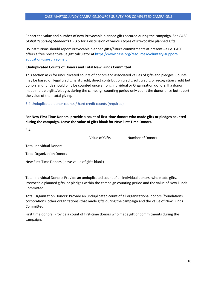Report the value and number of new irrevocable planned gifts secured during the campaign. See *CASE Global Reporting Standards US 3.5* for a discussion of various types of irrevocable planned gifts.

US institutions should report irrevocable planned gifts/future commitments at present-value. CASE offers a free present-value gift calculator at [https://www.case.org/resources/voluntary-support](https://www.case.org/resources/voluntary-support-education-vse-survey-help)[education-vse-survey-help](https://www.case.org/resources/voluntary-support-education-vse-survey-help)

#### **Unduplicated Counts of Donors and Total New Funds Committed**

This section asks for unduplicated counts of donors and associated values of gifts and pledges. Counts may be based on legal credit, hard credit, direct contribution credit, soft credit, or recognition credit but donors and funds should only be counted once among Individual or Organization donors. If a donor made multiple gifts/pledges during the campaign counting period only count the donor once but report the value of their total giving.

<span id="page-17-0"></span>3.4 Unduplicated donor counts / hard credit counts (required)

**For New First Time Donors: provide a count of first-time donors who made gifts or pledges counted during the campaign. Leave the value of gifts blank for New First Time Donors.**

3.4

.

Value of Gifts **Number of Donors** 

Total Individual Donors

Total Organization Donors

New First Time Donors (leave value of gifts blank)

Total Individual Donors: Provide an unduplicated count of all individual donors, who made gifts, irrevocable planned gifts, or pledges within the campaign counting period and the value of New Funds Committed.

Total Organization Donors: Provide an unduplicated count of all organizational donors (foundations, corporations, other organizations) that made gifts during the campaign and the value of New Funds Committed.

First time donors: Provide a count of first-time donors who made gift or commitments during the campaign.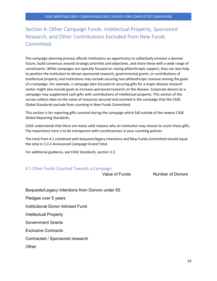# <span id="page-18-0"></span>Section 4: Other Campaign Funds: Intellectual Property, Sponsored Research, and Other Contributions Excluded from New Funds **Committed**

The campaign planning process affords institutions an opportunity to collectively envision a desired future, build consensus around strategic priorities and objectives, and share these with a wide range of constituents. While campaigns are typically focused on raising philanthropic support, they can also help to position the institution to attract sponsored research, governmental grants, or contributions of intellectual property and institutions may include securing non-philanthropic revenue among the goals of a campaign. For example, a campaign plan focused on securing gifts for a major disease research center might also include goals to increase sponsored research on the disease. Corporate donors to a campaign may supplement cash gifts with contributions of intellectual property. This section of the survey collects data on the value of resources secured and counted in the campaign that the CASE Global Standards exclude from counting in New Funds Committed.

This section is for reporting gifts counted during the campaign which fall outside of the newest CASE Global Reporting Standards.

CASE understands that there are many valid reasons why an institution may choose to count these gifts. The importance here is to be transparent with constituencies in your counting policies.

The total from 4.1 combined with bequests/legacy intentions and New Funds Committed should equal the total in 3.3.3 Announced Campaign Grand Total.

For additional guidance, see CASE Standards, section 3.3.

# <span id="page-18-1"></span>4.1 Other Funds Counted Towards a Campaign

Value of Funds Number of Donors

Bequests/Legacy Intentions from Donors under 65

Pledges over 5 years

Institutional Donor Advised Fund

Intellectual Property

Government Grants

Exclusive Contracts

Contracted / Sponsored research

**Other**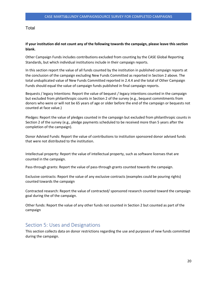Total

# **If your institution did not count any of the following towards the campaign, please leave this section blank.**

Other Campaign Funds includes contributions excluded from counting by the CASE Global Reporting Standards, but which individual institutions include in their campaign reports.

In this section report the value of all funds counted by the institution in published campaign reports at the conclusion of the campaign excluding New Funds Committed as reported in Section 2 above. The total unduplicated value of New Funds Committed reported in 2.4.4 and the total of Other Campaign Funds should equal the value of campaign funds published in final campaign reports.

Bequests / legacy Intentions: Report the value of bequest / legacy intentions counted in the campaign but excluded from philanthropic counts in Section 2 of the survey (e.g., bequest commitments from donors who were or will not be 65 years of age or older before the end of the campaign or bequests not counted at face value.)

Pledges: Report the value of pledges counted in the campaign but excluded from philanthropic counts in Section 2 of the survey (e.g., pledge payments scheduled to be received more than 5 years after the completion of the campaign).

Donor Advised Funds: Report the value of contributions to institution sponsored donor advised funds that were not distributed to the institution.

Intellectual property: Report the value of intellectual property, such as software licenses that are counted in the campaign.

Pass-through grants: Report the value of pass-through grants counted towards the campaign.

Exclusive contracts: Report the value of any exclusive contracts (examples could be pouring rights) counted towards the campaign

Contracted research: Report the value of contracted/ sponsored research counted toward the campaign goal during the of the campaign.

Other funds: Report the value of any other funds not counted in Section 2 but counted as part of the campaign

# <span id="page-19-0"></span>Section 5: Uses and Designations

This section collects data on donor restrictions regarding the use and purposes of new funds committed during the campaign.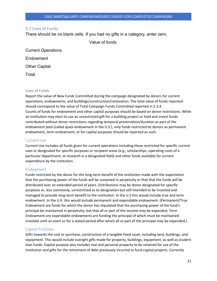# <span id="page-20-0"></span>5.1 Uses of Funds

There should be no blank cells. If you had no gifts in a category, enter zero.

Value of funds

Current Operations **Endowment** Other Capital Total

## <span id="page-20-1"></span>Uses of Funds

Report the value of New Funds Committed during the campaign designated by donors for current operations, endowments, and buildings/construction/renovation. The total value of funds reported should correspond to the value of Total Campaign Funds Committed reported in 2.3.4. Counts of funds for endowment and other capital purposes should be based on donor restrictions. While an institution may elect to use an unrestricted gift for a building project or hold and invest funds contributed without donor restrictions regarding temporal preservation/duration as part of the endowment pool (called quasi-endowment in the U.S.), only funds restricted by donors as permanent endowment, term endowment, or for capital purposes should be reported as such.

# <span id="page-20-2"></span>Current Use

Current Use includes all funds given for current operations including those restricted for specific current uses or designated for specific purposes or recipient areas (e.g., scholarships, operating costs of a particular department, or research in a designated field) and other funds available for current expenditure by the institution.

## <span id="page-20-3"></span>Endowment

Funds restricted by the donor for the long-term benefit of the institution made with the expectation that the purchasing power of the funds will be sustained in perpetuity or that that the funds will be distributed over an extended period of years. Distributions may be donor designated for specific purposes or, less commonly, unrestricted as to designation but still intended to be invested and managed to provide long-term benefit to the institution. In the U.S this would include true and term endowment. In the U.K. this would include permanent and expendable endowment. (Permanent/True Endowment are funds for which the donor has stipulated that the purchasing power of the fund's principal be maintained in perpetuity, but that all or part of the income may be expended. Term Endowment ore expendable endowments are funding the principal of which must be maintained inviolate until an evert or for a stated period after which all or part of the principal may be expended.)

## <span id="page-20-4"></span>Capital Purposes

Gifts towards the cost or purchase, construction of a tangible fixed asset, including land, buildings, and equipment. This would include outright gifts made for property, buildings, equipment, as well as student loan funds. Capital purpose also includes real and personal property to be retained for use of the institution and gifts for the retirement of debt previously incurred to fund capital projects. Currently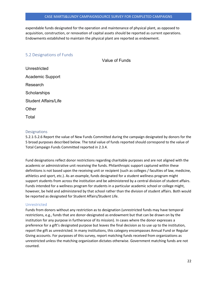expendable funds designated for the operation and maintenance of physical plant, as opposed to acquisition, construction, or renovation of capital assets should be reported as current operations. Endowments established to maintain the physical plant are reported as endowment.

# <span id="page-21-0"></span>5.2 Designations of Funds

Value of Funds

Unrestricted Academic Support Research **Scholarships** Student Affairs/Life **Other Total** 

#### <span id="page-21-1"></span>**Designations**

5.2.1-5.2.6 Report the value of New Funds Committed during the campaign designated by donors for the 5 broad purposes described below. The total value of funds reported should correspond to the value of Total Campaign Funds Committed reported in 2.3.4.

Fund designations reflect donor restrictions regarding charitable purposes and are not aligned with the academic or administrative unit receiving the funds. Philanthropic support captured within these definitions is not based upon the receiving unit or recipient (such as colleges / faculties of law, medicine, athletics and sport, etc.). As an example, funds designated for a student wellness program might support students from across the institution and be administered by a central division of student affairs. Funds intended for a wellness program for students in a particular academic school or college might, however, be held and administered by that school rather than the division of student affairs. Both would be reported as designated for Student Affairs/Student Life.

## <span id="page-21-2"></span>Unrestricted

Funds from donors without any restriction as to designation (unrestricted funds may have temporal restrictions, e.g., funds that are donor-designated as endowment but that can be drawn on by the institution for any purpose in furtherance of its mission). In cases where the donor expresses a preference for a gift's designated purpose but leaves the final decision as to use up to the institution, report the gift as unrestricted. In many institutions, this category encompasses Annual Fund or Regular Giving accounts. For purposes of this survey, report matching funds received from organizations as unrestricted unless the matching organization dictates otherwise. Government matching funds are not counted.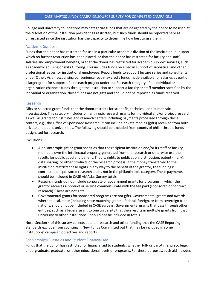College and university foundations may categorize funds that are designated by the donor to be used at the discretion of the institution president as restricted, but such funds should be reported here as unrestricted since the institution has the capacity to determine how best to use them.

#### <span id="page-22-0"></span>Academic Support

Funds that the donor has restricted for use in a particular academic division of the institution, but upon which no further restriction has been placed, or that the donor has restricted for faculty and staff salaries and employment benefits, or that the donor has restricted for academic support services, such as academic advising or skills tutoring. This includes funds received in support of sabbatical and other professional leaves for institutional employees. Report funds to support lecture series and consultants under Other. As an accounting convenience, you may credit funds made available for salaries as part of a larger grant for support of a research project under the Research category. If an individual or organization channels funds through the institution to support a faculty or staff member specified by the individual or organization, these funds are not gifts and should not be reported as funds received.

#### <span id="page-22-1"></span>Research

Gifts or selected grant funds that the donor restricts for scientific, technical, and humanistic investigation. This category includes philanthropic research grants for individual and/or project research as well as grants for institutes and research centers including payments processed through those centers, e.g., the Office of Sponsored Research. It can include private monies (gifts) received from both private and public universities. The following should be excluded from counts of philanthropic funds designated for research.

Exclusions:

- A philanthropic gift or grant specifies that the recipient institution and/or its staff or faculty members own the intellectual property generated from the research or otherwise use the results for public good and benefit. That is, rights to publication, distribution, patent (if any), data sharing, or other products of the research process. If the money transferred to the institution restricts these rights in any way to the benefit of the grantor, the funding is contracted or sponsored research and is not in the philanthropic category. These payments should be included in CASE AMAtlas Survey totals
- Research funds do not include corporate or government grants for programs in which the grantor receives a product or service commensurate with the fee paid (sponsored or contract research). These are not gifts.
- Governmental grants for sponsored programs are not gifts. Governmental grants and awards, whether local, state (including state matching grants), federal, foreign, or from sovereign tribal nations, should not be included in CASE surveys. Governmental grants that pass through other entities, such as a federal grant to one university that then results in multiple grants from that university to other institutions – should not be included in totals.

Note: Section 4 of this survey collects data on research and other funding that the CASE Reporting Standards exclude from counting in New Funds Committed but that may be included in some institutions' campaign objectives and reports.

#### <span id="page-22-2"></span>Scholarships/Bursaries and Student Financial Aid

Funds that the donor has restricted for financial aid to students, whether full- or part-time, precollege, undergraduate, graduate, or other educational levels or programs. For these purposes, such aid includes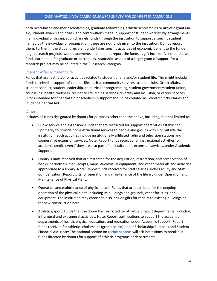both need-based and merit scholarships, graduate fellowships, athletic scholarships or athletic grants-inaid, student awards and prizes, and contributions made in support of student work-study arrangements. If an individual or organization channels funds through the institution to support a specific student named by the individual or organization, these are not funds given to the institution. Do not report them. Further, if the student recipient undertakes specific activities of economic benefit to the funder (e.g., research projects, work placements, etc.), do not report the funds as gift income. As noted above, funds earmarked for graduate or doctoral assistantships as part of a larger grant of support for a research project may be counted in the "Research" category.

# <span id="page-23-0"></span>Student Affairs/Student Life

Funds that are restricted for activities related to student affairs and/or student life. This might include funds received in support of campus life, such as community services, student clubs, Greek affairs, student conduct, student leadership, co-curricular programming, student government/student union, counseling, health, wellness, residence life, dining services, diversity and inclusion, or career services. Funds intended for financial aid or scholarship support should be counted as Scholarship/Bursaries and Student Financial Aid.

# <span id="page-23-1"></span>**Other**

Includes all funds designated by donors for purposes other than the above, including, but not limited to:

- Public service and extension: Funds that are restricted for support of activities established 5primarily to provide non-instructional services to people and groups within or outside the institution. Such activities include institutionally affiliated radio and television stations and cooperative extension services. Note: Report funds received for instructional activities for academic credit, even if they are also part of an institution's extension services, under Academic Support.
- Library: Funds received that are restricted for the acquisition, restoration, and preservation of books, periodicals, manuscripts, maps, audiovisual equipment, and other materials and activities appropriate to a library. Note: Report funds received for staff salaries under Faculty and Staff Compensation. Report gifts for operation and maintenance of the library under Operation and Maintenance of Physical Plant.
- Operation and maintenance of physical plant: Funds that are restricted for the ongoing operation of the physical plant, including its buildings and grounds, other facilities, and equipment. The institution may choose to also include gifts for repairs to existing buildings or for new construction here.
- Athletics/sport: Funds that the donor has restricted for athletics or sport departments, including intramural and extramural activities. Note: Report contributions to support the academic departments of health, physical education, and recreation under Academic Support. Report funds received for athletic scholarships (grants-in-aid) under Scholarship/Bursaries and Student Financial Aid. Note: The optional section on recipient areas will ask institutions to break out funds directed by donors for support of athletic programs or departments.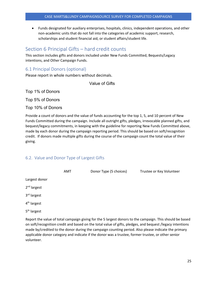• Funds designated for auxiliary enterprises, hospitals, clinics, independent operations, and other non-academic units that do not fall into the categories of academic support, research, scholarships and student financial aid, or student affairs/student life.

# <span id="page-24-0"></span>Section 6 Principal Gifts – hard credit counts

This section includes gifts and donors included under New Funds Committed, Bequests/Legacy intentions, and Other Campaign Funds.

# <span id="page-24-1"></span>6.1 Principal Donors (optional)

Please report in whole numbers without decimals.

Value of Gifts

Top 1% of Donors

Top 5% of Donors

Top 10% of Donors

Provide a count of donors and the value of funds accounting for the top 1, 5, and 10 percent of New Funds Committed during the campaign. Include all outright gifts, pledges, irrevocable planned gifts, and bequest/legacy commitments, in keeping with the guideline for reporting New Funds Committed above, made by each donor during the campaign reporting period. This should be based on soft/recognition credit. If donors made multiple gifts during the course of the campaign count the total value of their giving.

# <span id="page-24-2"></span>6.2. Value and Donor Type of Largest Gifts



Report the value of total campaign giving for the 5 largest donors to the campaign. This should be based on soft/recognition credit and based on the total value of gifts, pledges, and bequest /legacy intentions made by/credited to the donor during the campaign counting period. Also please indicate the primary applicable donor category and indicate if the donor was a trustee, former trustee, or other senior volunteer.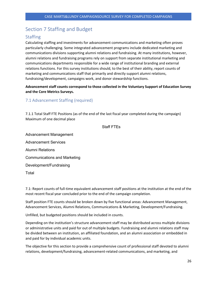# <span id="page-25-0"></span>Section 7 Staffing and Budget

# <span id="page-25-1"></span>**Staffing**

Calculating staffing and investments for advancement communications and marketing often proves particularly challenging. Some integrated advancement programs include dedicated marketing and communications divisions supporting alumni relations and fundraising. At many institutions, however, alumni relations and fundraising programs rely on support from separate institutional marketing and communications departments responsible for a wide range of institutional branding and external relations functions. For this survey institutions should, to the best of their ability, report counts of marketing and communications staff that primarily and directly support alumni relations, fundraising/development, campaigns work, and donor stewardship functions.

# **Advancement staff counts correspond to those collected in the Voluntary Support of Education Survey and the Core Metrics Surveys.**

# <span id="page-25-2"></span>7.1 Advancement Staffing (required)

7.1.1 Total Staff FTE Positions (as of the end of the last fiscal year completed during the campaign) Maximum of one decimal place

Staff FTEs

Advancement Management Advancement Services Alumni Relations Communications and Marketing Development/Fundraising Total

7.1: Report counts of full-time equivalent advancement staff positions at the institution at the end of the most recent fiscal year concluded prior to the end of the campaign completion.

Staff position FTE counts should be broken down by five functional areas: Advancement Management, Advancement Services, Alumni Relations, Communications & Marketing, Development/Fundraising.

Unfilled, but budgeted positions should be included in counts.

Depending on the institution's structure advancement staff may be distributed across multiple divisions or administrative units and paid for out of multiple budgets. Fundraising and alumni relations staff may be divided between an institution, an affiliated foundation, and an alumni association or embedded in and paid for by individual academic units.

The objective for this section to provide a comprehensive count of professional staff devoted to alumni relations, development/fundraising, advancement-related communications, and marketing, and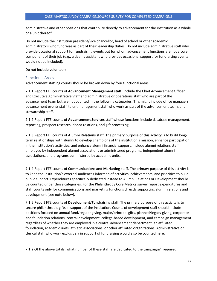administrative and other positions that contribute directly to advancement for the institution as a whole or a unit thereof.

Do not include the institution president/vice chancellor, head of school or other academic administrators who fundraise as part of their leadership duties. Do not include administrative staff who provide occasional support for fundraising events but for whom advancement functions are not a core component of their job (e.g., a dean's assistant who provides occasional support for fundraising events would not be included).

Do not include volunteers.

#### <span id="page-26-0"></span>Functional Areas

Advancement staffing counts should be broken down by four functional areas.

7.1.1 Report FTE counts of **Advancement Management staff:** Include the Chief Advancement Officer and Executive Administrative Staff and administrative or operations staff who are part of the advancement team but are not counted in the following categories. This might include office managers, advancement events staff, talent management staff who work as part of the advancement team, and stewardship staff.

7.1.2 Report FTE counts of **Advancement Services** staff whose functions include database management, reporting, prospect research, donor relations, and gift processing.

7.1.3 Report FTE counts of **Alumni Relations** staff. The primary purpose of this activity is to build longterm relationships with alumni to develop champions of the institution's mission, enhance participation in the institution's activities, and enhance alumni financial support. Include alumni relations staff employed by independent alumni associations or administered programs, independent alumni associations, and programs administered by academic units.

7.1.4 Report FTE counts of **Communications and Marketing** staff. The primary purpose of this activity is to keep the institution's external audiences informed of activities, achievements, and priorities to build public support. Expenditures specifically dedicated instead to Alumni Relations or Development should be counted under those categories. For the Philanthropy Core Metrics survey report expenditures and staff counts only for communications and marketing functions directly supporting alumni relations and development (see note below).

7.1.5 Report FTE counts of **Development/Fundraising** staff. The primary purpose of this activity is to secure philanthropic gifts in support of the institution. Counts of development staff should include positions focused on annual fund/regular giving, major/principal gifts, planned/legacy giving, corporate and foundation relations, central development, college-based development, and campaign management regardless of whether they are employed in a central advancement department, an affiliated foundation, academic units, athletic associations, or other affiliated organizations. Administrative or clerical staff who work exclusively in support of fundraising would also be counted here.

7.1.2 Of the above totals, what number of these staff are dedicated to the campaign? (required)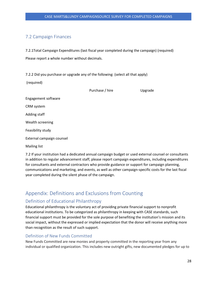# <span id="page-27-0"></span>7.2 Campaign Finances

7.2.1Total Campaign Expenditures (last fiscal year completed during the campaign) (required) Please report a whole number without decimals.

7.2.2 Did you purchase or upgrade any of the following: (select all that apply)

(required)

|                            | Purchase / hire | Upgrade |
|----------------------------|-----------------|---------|
| <b>Engagement software</b> |                 |         |
| CRM system                 |                 |         |
| Adding staff               |                 |         |
| Wealth screening           |                 |         |
| Feasibility study          |                 |         |
| External campaign counsel  |                 |         |
|                            |                 |         |

Mailing list

7.2 If your institution had a dedicated annual campaign budget or used external counsel or consultants in addition to regular advancement staff, please report campaign expenditures, including expenditures for consultants and external contractors who provide guidance or support for campaign planning, communications and marketing, and events, as well as other campaign-specific costs for the last fiscal year completed during the silent phase of the campaign.

# <span id="page-27-1"></span>Appendix: Definitions and Exclusions from Counting

# <span id="page-27-2"></span>Definition of Educational Philanthropy

Educational philanthropy is the voluntary act of providing private financial support to nonprofit educational institutions. To be categorized as philanthropy in keeping with CASE standards, such financial support must be provided for the sole purpose of benefiting the institution's mission and its social impact, without the expressed or implied expectation that the donor will receive anything more than recognition as the result of such support.

# <span id="page-27-3"></span>Definition of New Funds Committed

New Funds Committed are new monies and property committed in the reporting year from any individual or qualified organization. This includes new outright gifts, new documented pledges for up to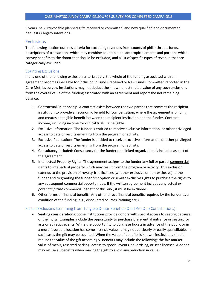5 years, new irrevocable planned gifts received or committed, and new qualified and documented bequests / legacy intentions.

# <span id="page-28-0"></span>**Exclusions**

The following section outlines criteria for excluding revenues from counts of philanthropic funds, descriptions of transactions which may combine countable philanthropic elements and portions which convey benefits to the donor that should be excluded, and a list of specific types of revenue that are categorically excluded.

# <span id="page-28-1"></span>Counting Exclusions

If any one of the following exclusion criteria apply, the whole of the funding associated with an agreement becomes ineligible for inclusion in Funds Received or New Funds Committed reported in the Core Metrics survey. Institutions may not deduct the known or estimated value of any such exclusions from the overall value of the funding associated with an agreement and report the net remaining balance.

- 1. Contractual Relationship: A contract exists between the two parties that commits the recipient institution to provide an economic benefit for compensation, where the agreement is binding and creates a tangible benefit between the recipient institution and the funder. Contract income, including income for clinical trials, is ineligible.
- 2. Exclusive Information: The funder is entitled to receive exclusive information, or other privileged access to data or results emerging from the program or activity.
- 3. Exclusive Publication: The funder is entitled to receive exclusive information, or other privileged access to data or results emerging from the program or activity.
- 4. Consultancy Included: Consultancy for the funder or a linked organization is included as part of the agreement.
- 5. Intellectual Property Rights: The agreement assigns to the funder any full or partial commercial rights to intellectual property which may result from the program or activity. This exclusion extends to the provision of royalty-free licenses (whether exclusive or non-exclusive) to the funder and to granting the funder first option or similar exclusive rights to purchase the rights to any subsequent commercial opportunities. If the written agreement includes any actual *or potential future* commercial benefit of this kind, it must be excluded.
- 6. Other forms of financial benefit: Any other direct financial benefits required by the funder as a condition of the funding (e.g., discounted courses, training etc.).

## <span id="page-28-2"></span>Partial Exclusions Stemming from Tangible Donor Benefits (Quid Pro Quo Contributions)

• **Seating considerations:** Some institutions provide donors with special access to seating because of their gifts. Examples include the opportunity to purchase preferential entrance or seating for arts or athletics events. While the opportunity to purchase tickets in advance of the public or in a more favorable location has some intrinsic value, it may not be clearly or easily quantifiable. In such cases the gift may be counted. When the value of benefits is known, institutions should reduce the value of the gift accordingly. Benefits may include the following: the fair market value of meals, reserved parking, access to special events, advertising, or seat licenses. A donor may refuse all benefits when making the gift to avoid any reduction in value.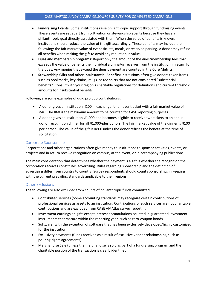- **Fundraising Events:** Some institutions raise philanthropic support through fundraising events. These events are set apart from cultivation or stewardship events because they have a philanthropic goal directly associated with them. When the value of benefits is known, institutions should reduce the value of the gift accordingly. These benefits may include the following: the fair market value of event tickets, meals, or reserved parking. A donor may refuse all benefits when making the gift to avoid any reduction in value.
- **Dues and membership programs**: Report only the amount of the dues/membership fees that exceeds the value of benefits the individual alumna/us receives from the institution in return for the dues. Any monies that exceed the dues payment are counted in the Core Metrics.
- **Stewardship Gifts and other Insubstantial Benefits:** Institutions often give donors token items such as bookmarks, key chains, mugs, or tee shirts that are not considered "substantial benefits." Consult with your region's charitable regulations for definitions and current threshold amounts for insubstantial benefits.

Following are some examples of quid pro quo contributions:

- A donor gives an institution ¤100 in exchange for an event ticket with a fair market value of ¤40. The ¤60 is the maximum amount to be counted for CASE reporting purposes.
- A donor gives an institution ¤1,000 and becomes eligible to receive two tickets to an annual donor recognition dinner for all ¤1,000-plus donors. The fair market value of the dinner is ¤100 per person. The value of the gift is ¤800 unless the donor refuses the benefit at the time of solicitation.

# <span id="page-29-0"></span>Corporate Sponsorships

Corporations and other organizations often give money to institutions to sponsor activities, events, or projects and in return receive recognition on campus, at the event, or in accompanying publications.

The main consideration that determines whether the payment is a gift is whether the recognition the corporation receives constitutes advertising. Rules regarding sponsorship and the definition of advertising differ from country to country. Survey respondents should count sponsorships in keeping with the current prevailing standards applicable to their regions.

## <span id="page-29-1"></span>Other Exclusions

The following are also excluded from counts of philanthropic funds committed.

- Contributed services (Some accounting standards may recognize certain contributions of professional services as assets to an institution. Contributions of such services are not charitable contributions and are excluded from CASE AMAtlas survey reporting.)
- Investment earnings on gifts except interest accumulations counted in guaranteed investment instruments that mature within the reporting year, such as zero-coupon bonds.
- Software (with the exception of software that has been exclusively developed/highly customized for the institution)
- Exclusivity payments (funds received as a result of exclusive vendor relationships, such as pouring rights agreements).
- Merchandise Sale (unless the merchandise is sold as part of a fundraising program and the charitable portion of the transaction is clearly identified)